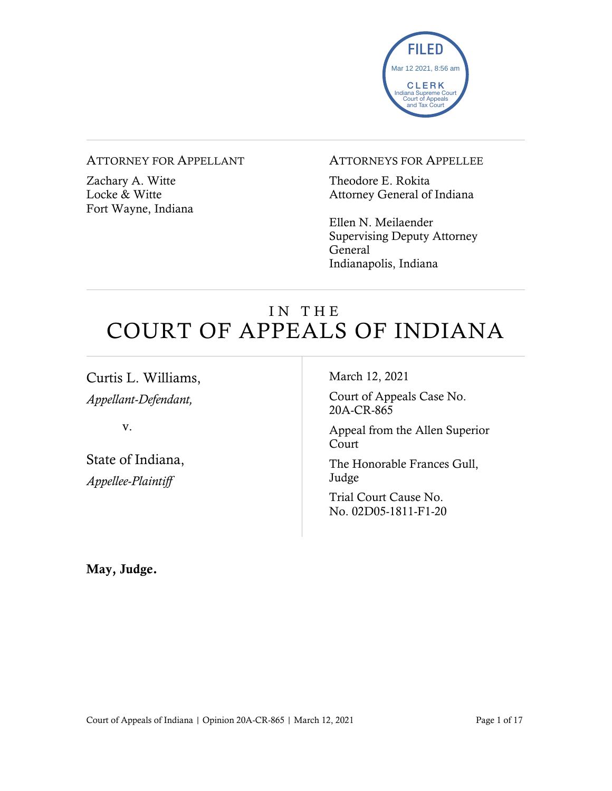

#### ATTORNEY FOR APPELLANT

Zachary A. Witte Locke & Witte Fort Wayne, Indiana

#### ATTORNEYS FOR APPELLEE

Theodore E. Rokita Attorney General of Indiana

Ellen N. Meilaender Supervising Deputy Attorney General Indianapolis, Indiana

# IN THE COURT OF APPEALS OF INDIANA

Curtis L. Williams, *Appellant-Defendant,*

v.

State of Indiana, *Appellee-Plaintiff*

March 12, 2021

Court of Appeals Case No. 20A-CR-865

Appeal from the Allen Superior Court

The Honorable Frances Gull, Judge

Trial Court Cause No. No. 02D05-1811-F1-20

May, Judge.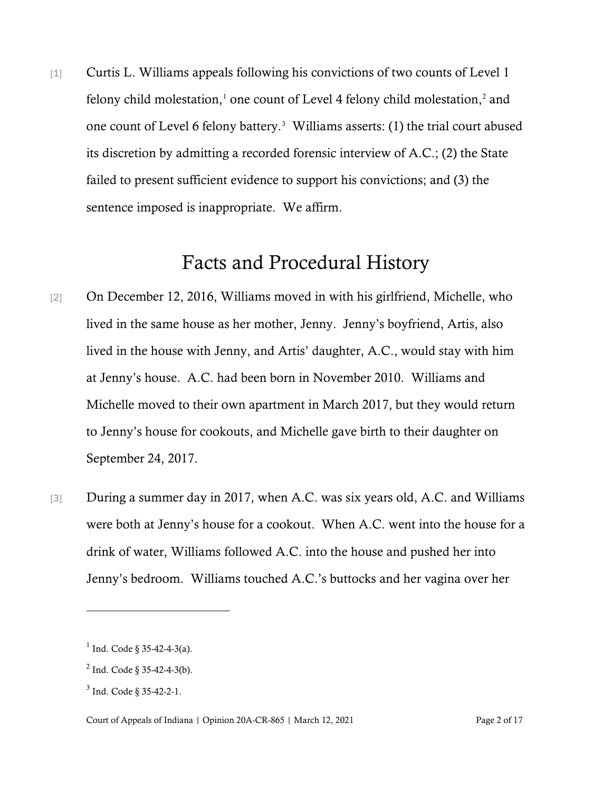[1] Curtis L. Williams appeals following his convictions of two counts of Level 1 felony child molestation, $<sup>1</sup>$  $<sup>1</sup>$  $<sup>1</sup>$  one count of Level 4 felony child molestation, $<sup>2</sup>$  $<sup>2</sup>$  $<sup>2</sup>$  and</sup></sup> one count of Level 6 felony battery. [3](#page-1-2) Williams asserts: (1) the trial court abused its discretion by admitting a recorded forensic interview of A.C.; (2) the State failed to present sufficient evidence to support his convictions; and (3) the sentence imposed is inappropriate. We affirm.

## Facts and Procedural History

- [2] On December 12, 2016, Williams moved in with his girlfriend, Michelle, who lived in the same house as her mother, Jenny. Jenny's boyfriend, Artis, also lived in the house with Jenny, and Artis' daughter, A.C., would stay with him at Jenny's house. A.C. had been born in November 2010. Williams and Michelle moved to their own apartment in March 2017, but they would return to Jenny's house for cookouts, and Michelle gave birth to their daughter on September 24, 2017.
- [3] During a summer day in 2017, when A.C. was six years old, A.C. and Williams were both at Jenny's house for a cookout. When A.C. went into the house for a drink of water, Williams followed A.C. into the house and pushed her into Jenny's bedroom. Williams touched A.C.'s buttocks and her vagina over her

<span id="page-1-0"></span> $1$  Ind. Code § 35-42-4-3(a).

<span id="page-1-1"></span> $^{2}$  Ind. Code § 35-42-4-3(b).

<span id="page-1-2"></span><sup>3</sup> Ind. Code § 35-42-2-1.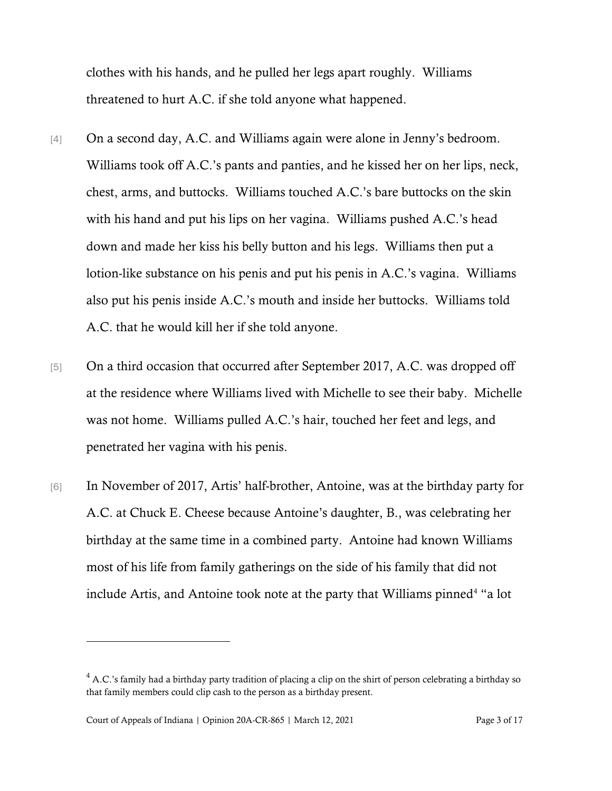clothes with his hands, and he pulled her legs apart roughly. Williams threatened to hurt A.C. if she told anyone what happened.

- [4] On a second day, A.C. and Williams again were alone in Jenny's bedroom. Williams took off A.C.'s pants and panties, and he kissed her on her lips, neck, chest, arms, and buttocks. Williams touched A.C.'s bare buttocks on the skin with his hand and put his lips on her vagina. Williams pushed A.C.'s head down and made her kiss his belly button and his legs. Williams then put a lotion-like substance on his penis and put his penis in A.C.'s vagina. Williams also put his penis inside A.C.'s mouth and inside her buttocks. Williams told A.C. that he would kill her if she told anyone.
- [5] On a third occasion that occurred after September 2017, A.C. was dropped off at the residence where Williams lived with Michelle to see their baby. Michelle was not home. Williams pulled A.C.'s hair, touched her feet and legs, and penetrated her vagina with his penis.
- [6] In November of 2017, Artis' half-brother, Antoine, was at the birthday party for A.C. at Chuck E. Cheese because Antoine's daughter, B., was celebrating her birthday at the same time in a combined party. Antoine had known Williams most of his life from family gatherings on the side of his family that did not include Artis, and Antoine took note at the party that Williams pinned<sup>[4](#page-2-0)</sup> "a lot

<span id="page-2-0"></span> $4$  A.C.'s family had a birthday party tradition of placing a clip on the shirt of person celebrating a birthday so that family members could clip cash to the person as a birthday present.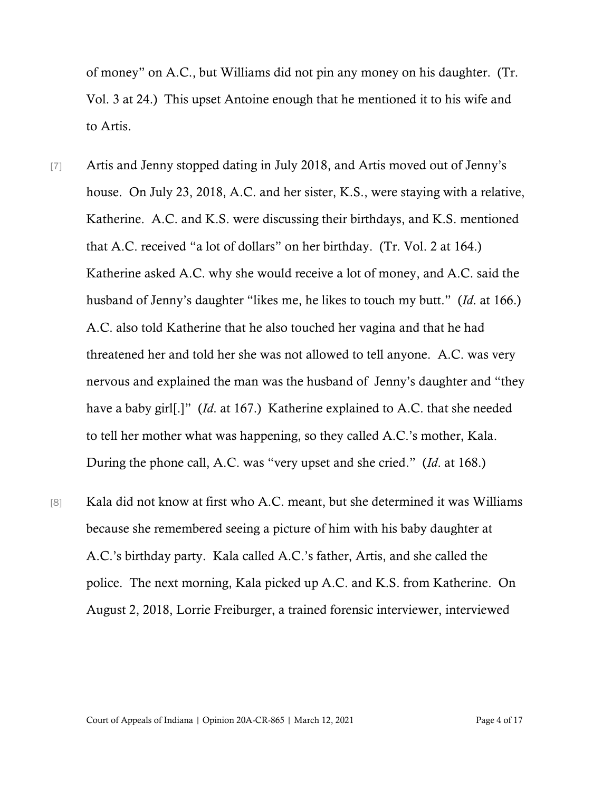of money" on A.C., but Williams did not pin any money on his daughter. (Tr. Vol. 3 at 24.) This upset Antoine enough that he mentioned it to his wife and to Artis.

- [7] Artis and Jenny stopped dating in July 2018, and Artis moved out of Jenny's house. On July 23, 2018, A.C. and her sister, K.S., were staying with a relative, Katherine. A.C. and K.S. were discussing their birthdays, and K.S. mentioned that A.C. received "a lot of dollars" on her birthday. (Tr. Vol. 2 at 164.) Katherine asked A.C. why she would receive a lot of money, and A.C. said the husband of Jenny's daughter "likes me, he likes to touch my butt." (*Id*. at 166.) A.C. also told Katherine that he also touched her vagina and that he had threatened her and told her she was not allowed to tell anyone. A.C. was very nervous and explained the man was the husband of Jenny's daughter and "they have a baby girl[.]" (*Id*. at 167.) Katherine explained to A.C. that she needed to tell her mother what was happening, so they called A.C.'s mother, Kala. During the phone call, A.C. was "very upset and she cried." (*Id*. at 168.)
- [8] Kala did not know at first who A.C. meant, but she determined it was Williams because she remembered seeing a picture of him with his baby daughter at A.C.'s birthday party. Kala called A.C.'s father, Artis, and she called the police. The next morning, Kala picked up A.C. and K.S. from Katherine. On August 2, 2018, Lorrie Freiburger, a trained forensic interviewer, interviewed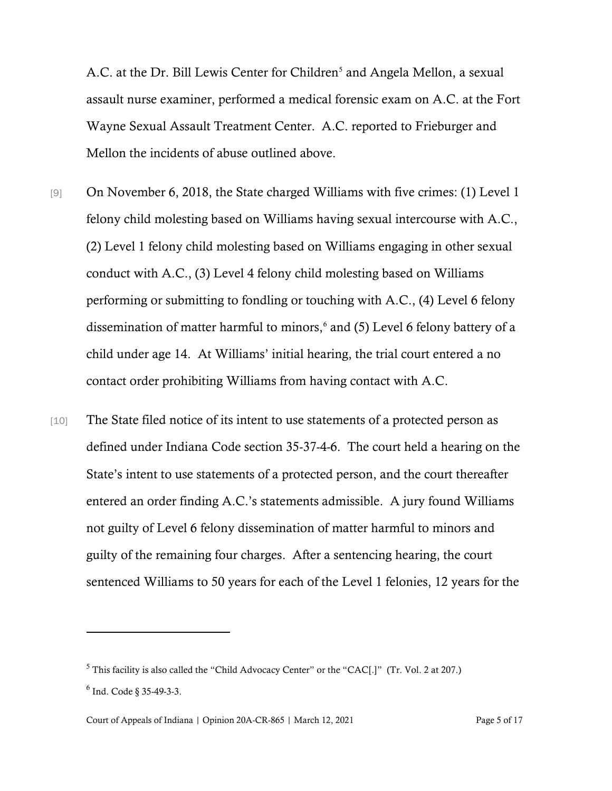A.C. at the Dr. Bill Lewis Center for Children<sup>[5](#page-4-0)</sup> and Angela Mellon, a sexual assault nurse examiner, performed a medical forensic exam on A.C. at the Fort Wayne Sexual Assault Treatment Center. A.C. reported to Frieburger and Mellon the incidents of abuse outlined above.

- [9] On November 6, 2018, the State charged Williams with five crimes: (1) Level 1 felony child molesting based on Williams having sexual intercourse with A.C., (2) Level 1 felony child molesting based on Williams engaging in other sexual conduct with A.C., (3) Level 4 felony child molesting based on Williams performing or submitting to fondling or touching with A.C., (4) Level 6 felony dissemination of matter harmful to minors,<sup>[6](#page-4-1)</sup> and (5) Level 6 felony battery of a child under age 14. At Williams' initial hearing, the trial court entered a no contact order prohibiting Williams from having contact with A.C.
- [10] The State filed notice of its intent to use statements of a protected person as defined under Indiana Code section 35-37-4-6. The court held a hearing on the State's intent to use statements of a protected person, and the court thereafter entered an order finding A.C.'s statements admissible. A jury found Williams not guilty of Level 6 felony dissemination of matter harmful to minors and guilty of the remaining four charges. After a sentencing hearing, the court sentenced Williams to 50 years for each of the Level 1 felonies, 12 years for the

<span id="page-4-1"></span><span id="page-4-0"></span><sup>5</sup> This facility is also called the "Child Advocacy Center" or the "CAC[.]" (Tr. Vol. 2 at 207.)  $6$  Ind. Code § 35-49-3-3.

Court of Appeals of Indiana | Opinion 20A-CR-865 | March 12, 2021 Page 5 of 17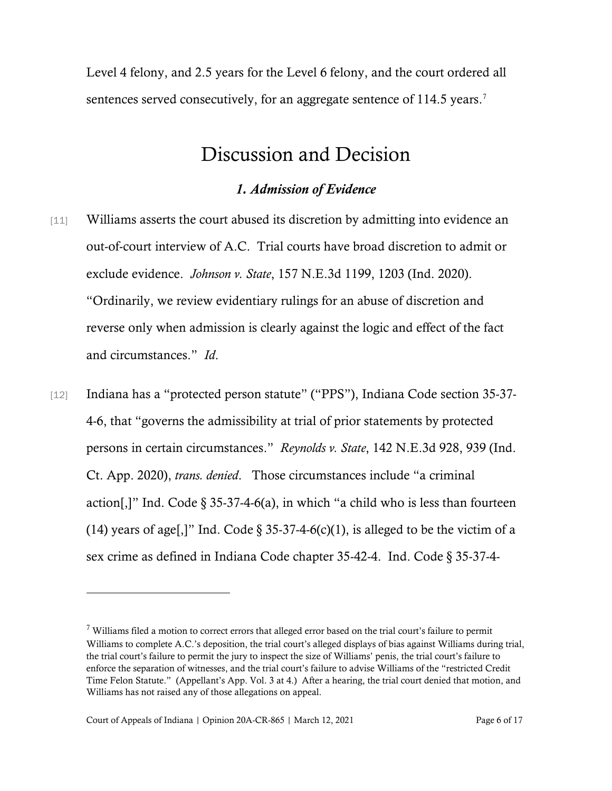Level 4 felony, and 2.5 years for the Level 6 felony, and the court ordered all sentences served consecutively, for an aggregate sentence of 114.5 years.<sup>[7](#page-5-0)</sup>

## Discussion and Decision

### *1. Admission of Evidence*

- [11] Williams asserts the court abused its discretion by admitting into evidence an out-of-court interview of A.C. Trial courts have broad discretion to admit or exclude evidence. *Johnson v. State*, 157 N.E.3d 1199, 1203 (Ind. 2020). "Ordinarily, we review evidentiary rulings for an abuse of discretion and reverse only when admission is clearly against the logic and effect of the fact and circumstances." *Id*.
- [12] Indiana has a "protected person statute" ("PPS"), Indiana Code section 35-37-4-6, that "governs the admissibility at trial of prior statements by protected persons in certain circumstances." *Reynolds v. State*, 142 N.E.3d 928, 939 (Ind. Ct. App. 2020), *trans. denied*. Those circumstances include "a criminal action[,]" Ind. Code  $\S 35-37-4-6(a)$ , in which "a child who is less than fourteen (14) years of age[,]" Ind. Code  $\S 35-37-4-6(c)(1)$ , is alleged to be the victim of a sex crime as defined in Indiana Code chapter 35-42-4. Ind. Code § 35-37-4-

<span id="page-5-0"></span> $\frac{7}{10}$  Williams filed a motion to correct errors that alleged error based on the trial court's failure to permit Williams to complete A.C.'s deposition, the trial court's alleged displays of bias against Williams during trial, the trial court's failure to permit the jury to inspect the size of Williams' penis, the trial court's failure to enforce the separation of witnesses, and the trial court's failure to advise Williams of the "restricted Credit Time Felon Statute." (Appellant's App. Vol. 3 at 4.) After a hearing, the trial court denied that motion, and Williams has not raised any of those allegations on appeal.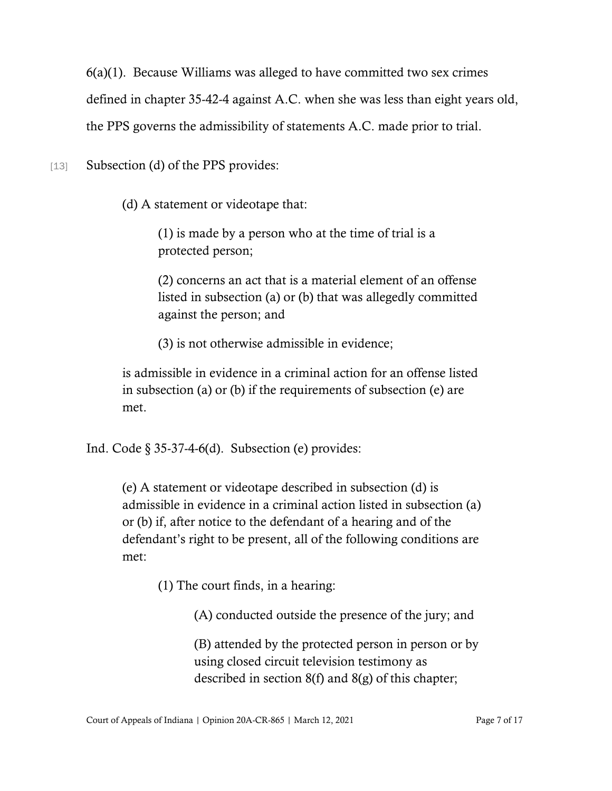6(a)(1). Because Williams was alleged to have committed two sex crimes

defined in chapter 35-42-4 against A.C. when she was less than eight years old,

the PPS governs the admissibility of statements A.C. made prior to trial.

[13] Subsection (d) of the PPS provides:

(d) A statement or videotape that:

(1) is made by a person who at the time of trial is a protected person;

(2) concerns an act that is a material element of an offense listed in subsection (a) or (b) that was allegedly committed against the person; and

(3) is not otherwise admissible in evidence;

is admissible in evidence in a criminal action for an offense listed in subsection (a) or (b) if the requirements of subsection (e) are met.

Ind. Code  $\S 35-37-4-6(d)$ . Subsection (e) provides:

(e) A statement or videotape described in subsection (d) is admissible in evidence in a criminal action listed in subsection (a) or (b) if, after notice to the defendant of a hearing and of the defendant's right to be present, all of the following conditions are met:

(1) The court finds, in a hearing:

(A) conducted outside the presence of the jury; and

(B) attended by the protected person in person or by using closed circuit television testimony as described in section 8(f) and 8(g) of this chapter;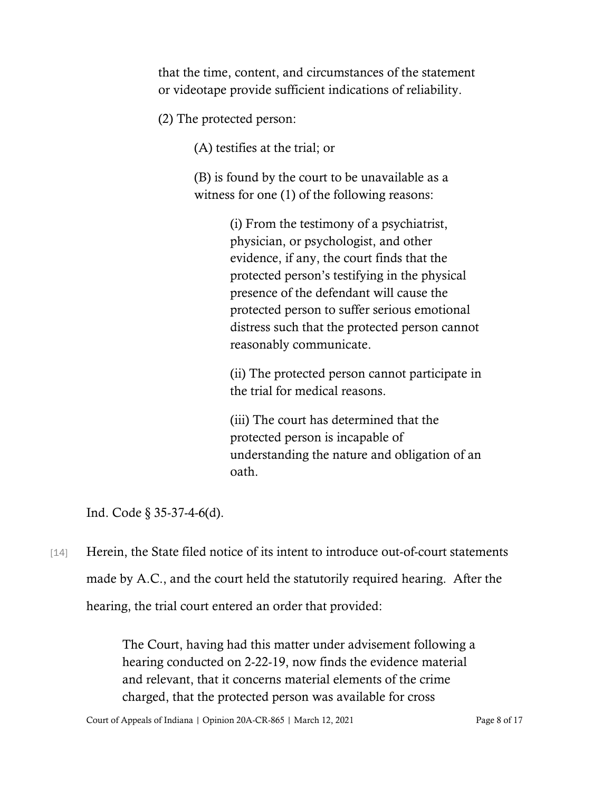that the time, content, and circumstances of the statement or videotape provide sufficient indications of reliability.

(2) The protected person:

(A) testifies at the trial; or

(B) is found by the court to be unavailable as a witness for one (1) of the following reasons:

> (i) From the testimony of a psychiatrist, physician, or psychologist, and other evidence, if any, the court finds that the protected person's testifying in the physical presence of the defendant will cause the protected person to suffer serious emotional distress such that the protected person cannot reasonably communicate.

(ii) The protected person cannot participate in the trial for medical reasons.

(iii) The court has determined that the protected person is incapable of understanding the nature and obligation of an oath.

Ind. Code § 35-37-4-6(d).

[14] Herein, the State filed notice of its intent to introduce out-of-court statements made by A.C., and the court held the statutorily required hearing. After the hearing, the trial court entered an order that provided:

> The Court, having had this matter under advisement following a hearing conducted on 2-22-19, now finds the evidence material and relevant, that it concerns material elements of the crime charged, that the protected person was available for cross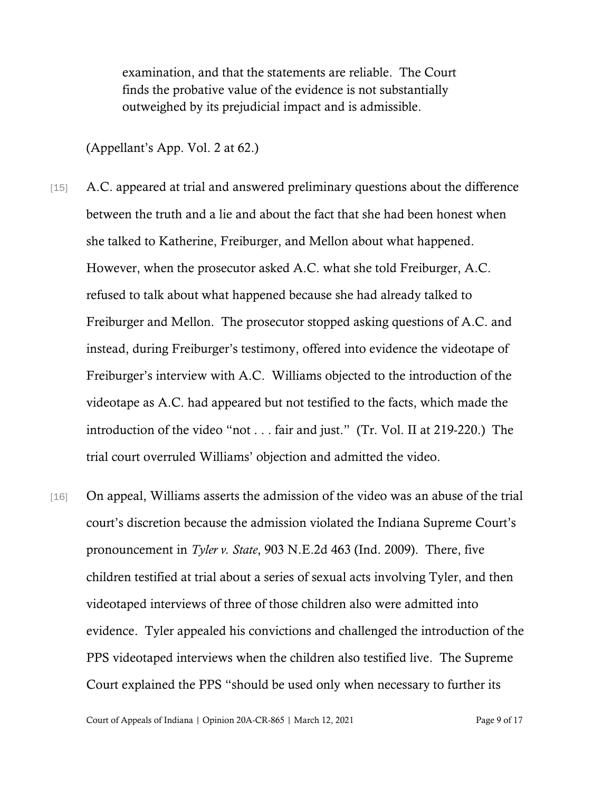examination, and that the statements are reliable. The Court finds the probative value of the evidence is not substantially outweighed by its prejudicial impact and is admissible.

(Appellant's App. Vol. 2 at 62.)

- [15] A.C. appeared at trial and answered preliminary questions about the difference between the truth and a lie and about the fact that she had been honest when she talked to Katherine, Freiburger, and Mellon about what happened. However, when the prosecutor asked A.C. what she told Freiburger, A.C. refused to talk about what happened because she had already talked to Freiburger and Mellon. The prosecutor stopped asking questions of A.C. and instead, during Freiburger's testimony, offered into evidence the videotape of Freiburger's interview with A.C. Williams objected to the introduction of the videotape as A.C. had appeared but not testified to the facts, which made the introduction of the video "not . . . fair and just." (Tr. Vol. II at 219-220.) The trial court overruled Williams' objection and admitted the video.
- [16] On appeal, Williams asserts the admission of the video was an abuse of the trial court's discretion because the admission violated the Indiana Supreme Court's pronouncement in *Tyler v. State*, 903 N.E.2d 463 (Ind. 2009). There, five children testified at trial about a series of sexual acts involving Tyler, and then videotaped interviews of three of those children also were admitted into evidence. Tyler appealed his convictions and challenged the introduction of the PPS videotaped interviews when the children also testified live. The Supreme Court explained the PPS "should be used only when necessary to further its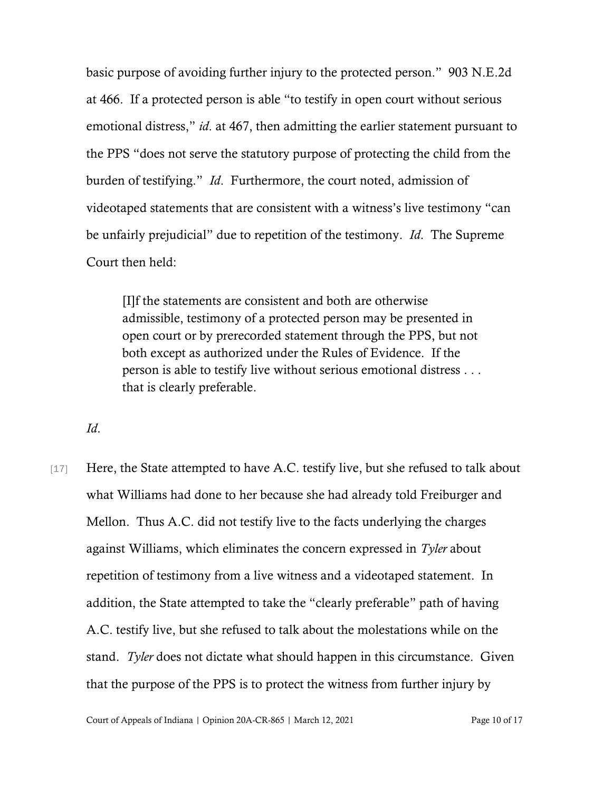basic purpose of avoiding further injury to the protected person." 903 N.E.2d at 466. If a protected person is able "to testify in open court without serious emotional distress," *id*. at 467, then admitting the earlier statement pursuant to the PPS "does not serve the statutory purpose of protecting the child from the burden of testifying." *Id*. Furthermore, the court noted, admission of videotaped statements that are consistent with a witness's live testimony "can be unfairly prejudicial" due to repetition of the testimony. *Id*. The Supreme Court then held:

[I]f the statements are consistent and both are otherwise admissible, testimony of a protected person may be presented in open court or by prerecorded statement through the PPS, but not both except as authorized under the Rules of Evidence. If the person is able to testify live without serious emotional distress . . . that is clearly preferable.

*Id*.

[17] Here, the State attempted to have A.C. testify live, but she refused to talk about what Williams had done to her because she had already told Freiburger and Mellon. Thus A.C. did not testify live to the facts underlying the charges against Williams, which eliminates the concern expressed in *Tyler* about repetition of testimony from a live witness and a videotaped statement. In addition, the State attempted to take the "clearly preferable" path of having A.C. testify live, but she refused to talk about the molestations while on the stand. *Tyler* does not dictate what should happen in this circumstance. Given that the purpose of the PPS is to protect the witness from further injury by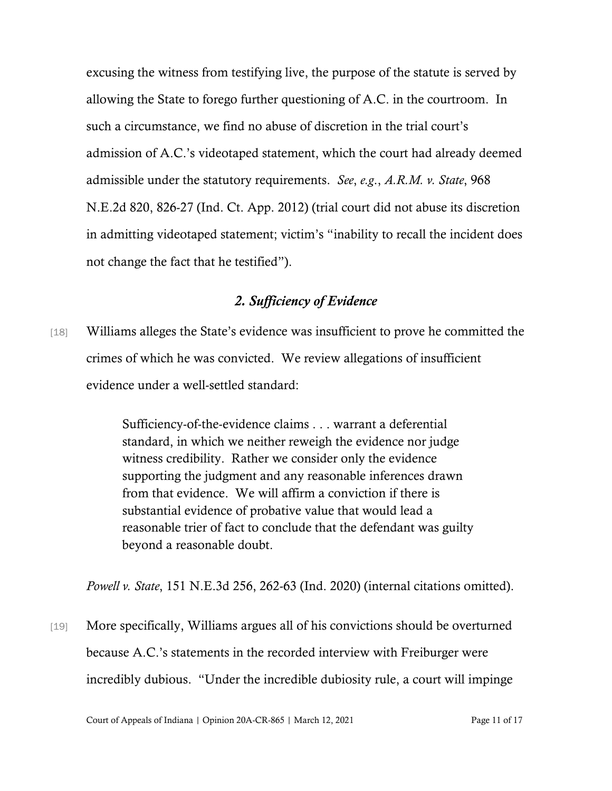excusing the witness from testifying live, the purpose of the statute is served by allowing the State to forego further questioning of A.C. in the courtroom. In such a circumstance, we find no abuse of discretion in the trial court's admission of A.C.'s videotaped statement, which the court had already deemed admissible under the statutory requirements. *See*, *e.g*., *A.R.M. v. State*, 968 N.E.2d 820, 826-27 (Ind. Ct. App. 2012) (trial court did not abuse its discretion in admitting videotaped statement; victim's "inability to recall the incident does not change the fact that he testified").

### *2. Sufficiency of Evidence*

[18] Williams alleges the State's evidence was insufficient to prove he committed the crimes of which he was convicted. We review allegations of insufficient evidence under a well-settled standard:

> Sufficiency-of-the-evidence claims . . . warrant a deferential standard, in which we neither reweigh the evidence nor judge witness credibility. Rather we consider only the evidence supporting the judgment and any reasonable inferences drawn from that evidence. We will affirm a conviction if there is substantial evidence of probative value that would lead a reasonable trier of fact to conclude that the defendant was guilty beyond a reasonable doubt.

*Powell v. State*, 151 N.E.3d 256, 262-63 (Ind. 2020) (internal citations omitted).

[19] More specifically, Williams argues all of his convictions should be overturned because A.C.'s statements in the recorded interview with Freiburger were incredibly dubious. "Under the incredible dubiosity rule, a court will impinge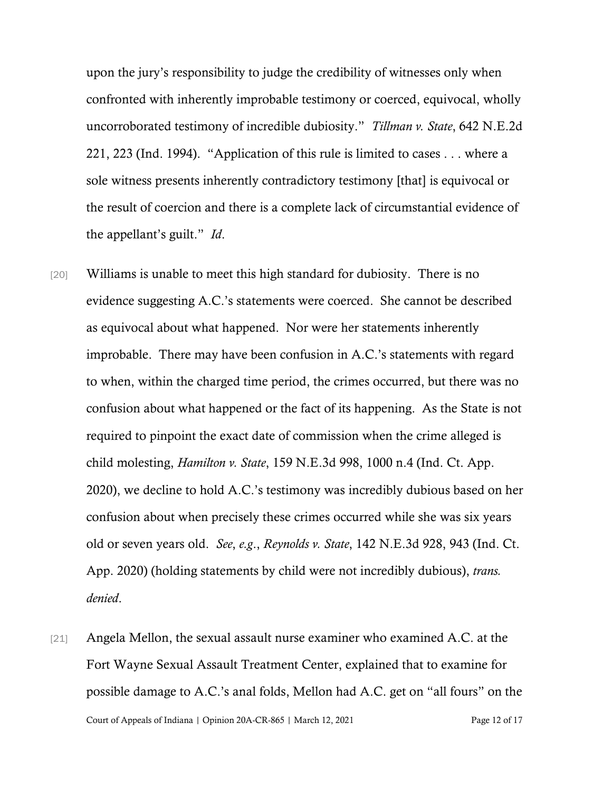upon the jury's responsibility to judge the credibility of witnesses only when confronted with inherently improbable testimony or coerced, equivocal, wholly uncorroborated testimony of incredible dubiosity." *Tillman v. State*, 642 N.E.2d 221, 223 (Ind. 1994). "Application of this rule is limited to cases . . . where a sole witness presents inherently contradictory testimony [that] is equivocal or the result of coercion and there is a complete lack of circumstantial evidence of the appellant's guilt." *Id*.

- [20] Williams is unable to meet this high standard for dubiosity. There is no evidence suggesting A.C.'s statements were coerced. She cannot be described as equivocal about what happened. Nor were her statements inherently improbable. There may have been confusion in A.C.'s statements with regard to when, within the charged time period, the crimes occurred, but there was no confusion about what happened or the fact of its happening. As the State is not required to pinpoint the exact date of commission when the crime alleged is child molesting, *Hamilton v. State*, 159 N.E.3d 998, 1000 n.4 (Ind. Ct. App. 2020), we decline to hold A.C.'s testimony was incredibly dubious based on her confusion about when precisely these crimes occurred while she was six years old or seven years old. *See*, *e.g*., *Reynolds v. State*, 142 N.E.3d 928, 943 (Ind. Ct. App. 2020) (holding statements by child were not incredibly dubious), *trans. denied*.
- Court of Appeals of Indiana | Opinion 20A-CR-865 | March 12, 2021 Page 12 of 17 [21] Angela Mellon, the sexual assault nurse examiner who examined A.C. at the Fort Wayne Sexual Assault Treatment Center, explained that to examine for possible damage to A.C.'s anal folds, Mellon had A.C. get on "all fours" on the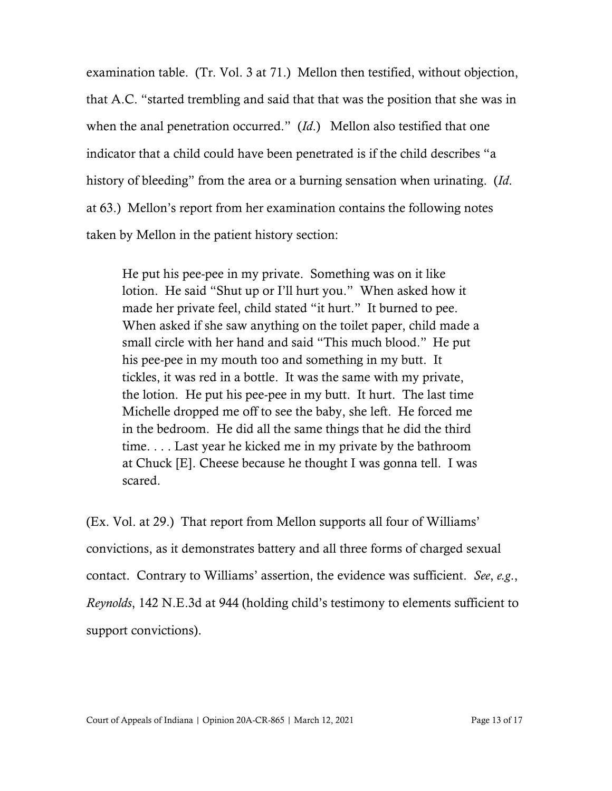examination table. (Tr. Vol. 3 at 71.) Mellon then testified, without objection, that A.C. "started trembling and said that that was the position that she was in when the anal penetration occurred." (*Id*.) Mellon also testified that one indicator that a child could have been penetrated is if the child describes "a history of bleeding" from the area or a burning sensation when urinating. (*Id*. at 63.) Mellon's report from her examination contains the following notes taken by Mellon in the patient history section:

He put his pee-pee in my private. Something was on it like lotion. He said "Shut up or I'll hurt you." When asked how it made her private feel, child stated "it hurt." It burned to pee. When asked if she saw anything on the toilet paper, child made a small circle with her hand and said "This much blood."He put his pee-pee in my mouth too and something in my butt. It tickles, it was red in a bottle. It was the same with my private, the lotion. He put his pee-pee in my butt. It hurt. The last time Michelle dropped me off to see the baby, she left. He forced me in the bedroom. He did all the same things that he did the third time. . . . Last year he kicked me in my private by the bathroom at Chuck [E]. Cheese because he thought I was gonna tell. I was scared.

(Ex. Vol. at 29.) That report from Mellon supports all four of Williams' convictions, as it demonstrates battery and all three forms of charged sexual contact. Contrary to Williams' assertion, the evidence was sufficient. *See*, *e.g*., *Reynolds*, 142 N.E.3d at 944 (holding child's testimony to elements sufficient to support convictions).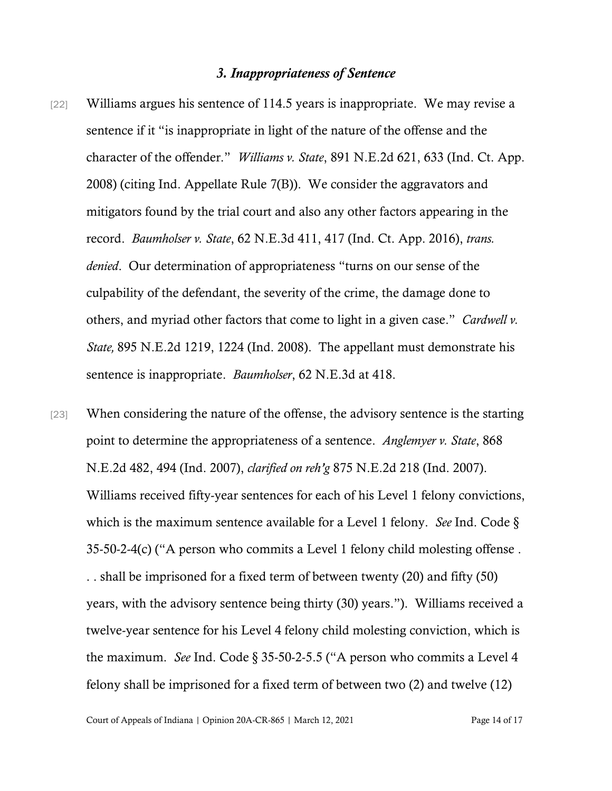### *3. Inappropriateness of Sentence*

- [22] Williams argues his sentence of 114.5 years is inappropriate. We may revise a sentence if it "is inappropriate in light of the nature of the offense and the character of the offender." *Williams v. State*, 891 N.E.2d 621, 633 (Ind. Ct. App. 2008) (citing Ind. Appellate Rule 7(B)). We consider the aggravators and mitigators found by the trial court and also any other factors appearing in the record. *Baumholser v. State*, 62 N.E.3d 411, 417 (Ind. Ct. App. 2016), *trans. denied*. Our determination of appropriateness "turns on our sense of the culpability of the defendant, the severity of the crime, the damage done to others, and myriad other factors that come to light in a given case." *Cardwell v. State,* 895 N.E.2d 1219, 1224 (Ind. 2008). The appellant must demonstrate his sentence is inappropriate. *Baumholser*, 62 N.E.3d at 418.
- [23] When considering the nature of the offense, the advisory sentence is the starting point to determine the appropriateness of a sentence. *Anglemyer v. State*, 868 N.E.2d 482, 494 (Ind. 2007), *clarified on reh'g* 875 N.E.2d 218 (Ind. 2007). Williams received fifty-year sentences for each of his Level 1 felony convictions, which is the maximum sentence available for a Level 1 felony. *See* Ind. Code § 35-50-2-4(c) ("A person who commits a Level 1 felony child molesting offense . . . shall be imprisoned for a fixed term of between twenty (20) and fifty (50) years, with the advisory sentence being thirty (30) years."). Williams received a twelve-year sentence for his Level 4 felony child molesting conviction, which is the maximum. *See* Ind. Code § 35-50-2-5.5 ("A person who commits a Level 4 felony shall be imprisoned for a fixed term of between two (2) and twelve (12)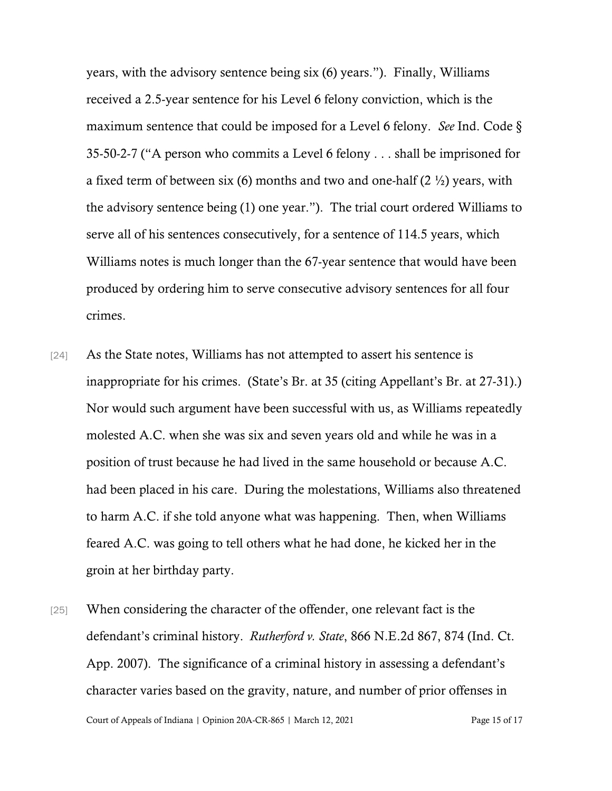years, with the advisory sentence being six (6) years."). Finally, Williams received a 2.5-year sentence for his Level 6 felony conviction, which is the maximum sentence that could be imposed for a Level 6 felony. *See* Ind. Code § 35-50-2-7 ("A person who commits a Level 6 felony . . . shall be imprisoned for a fixed term of between six (6) months and two and one-half  $(2 \frac{1}{2})$  years, with the advisory sentence being (1) one year."). The trial court ordered Williams to serve all of his sentences consecutively, for a sentence of 114.5 years, which Williams notes is much longer than the 67-year sentence that would have been produced by ordering him to serve consecutive advisory sentences for all four crimes.

- [24] As the State notes, Williams has not attempted to assert his sentence is inappropriate for his crimes. (State's Br. at 35 (citing Appellant's Br. at 27-31).) Nor would such argument have been successful with us, as Williams repeatedly molested A.C. when she was six and seven years old and while he was in a position of trust because he had lived in the same household or because A.C. had been placed in his care. During the molestations, Williams also threatened to harm A.C. if she told anyone what was happening. Then, when Williams feared A.C. was going to tell others what he had done, he kicked her in the groin at her birthday party.
- [25] When considering the character of the offender, one relevant fact is the defendant's criminal history. *Rutherford v. State*, 866 N.E.2d 867, 874 (Ind. Ct. App. 2007). The significance of a criminal history in assessing a defendant's character varies based on the gravity, nature, and number of prior offenses in

Court of Appeals of Indiana | Opinion 20A-CR-865 | March 12, 2021 Page 15 of 17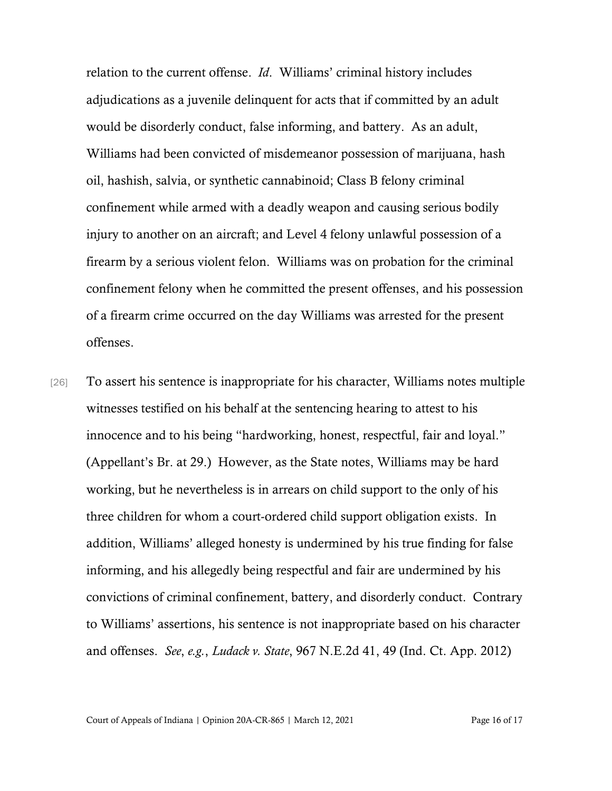relation to the current offense. *Id*. Williams' criminal history includes adjudications as a juvenile delinquent for acts that if committed by an adult would be disorderly conduct, false informing, and battery. As an adult, Williams had been convicted of misdemeanor possession of marijuana, hash oil, hashish, salvia, or synthetic cannabinoid; Class B felony criminal confinement while armed with a deadly weapon and causing serious bodily injury to another on an aircraft; and Level 4 felony unlawful possession of a firearm by a serious violent felon. Williams was on probation for the criminal confinement felony when he committed the present offenses, and his possession of a firearm crime occurred on the day Williams was arrested for the present offenses.

[26] To assert his sentence is inappropriate for his character, Williams notes multiple witnesses testified on his behalf at the sentencing hearing to attest to his innocence and to his being "hardworking, honest, respectful, fair and loyal." (Appellant's Br. at 29.) However, as the State notes, Williams may be hard working, but he nevertheless is in arrears on child support to the only of his three children for whom a court-ordered child support obligation exists. In addition, Williams' alleged honesty is undermined by his true finding for false informing, and his allegedly being respectful and fair are undermined by his convictions of criminal confinement, battery, and disorderly conduct. Contrary to Williams' assertions, his sentence is not inappropriate based on his character and offenses. *See*, *e.g.*, *Ludack v. State*, 967 N.E.2d 41, 49 (Ind. Ct. App. 2012)